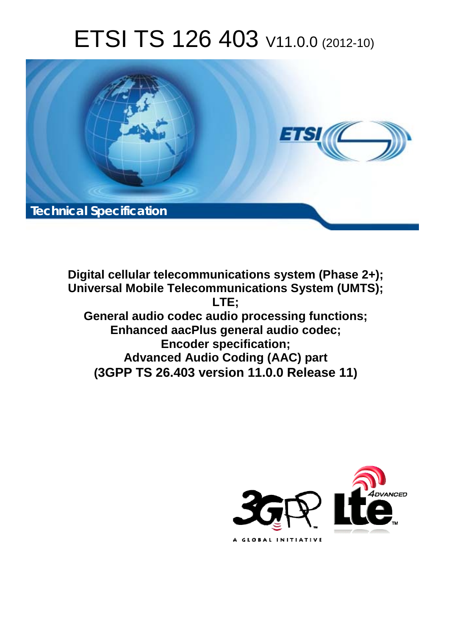# ETSI TS 126 403 V11.0.0 (2012-10)



**Digital cellular telecommunications system (Phase 2+); Universal Mobile Telecommunications System (UMTS); LTE; General audio codec audio processing functions; Enhanced aacPlus general audio codec; Encoder specification; Advanced Audio Coding (AAC) part (3GPP TS 26.403 version 11.0.0 Release 11)**

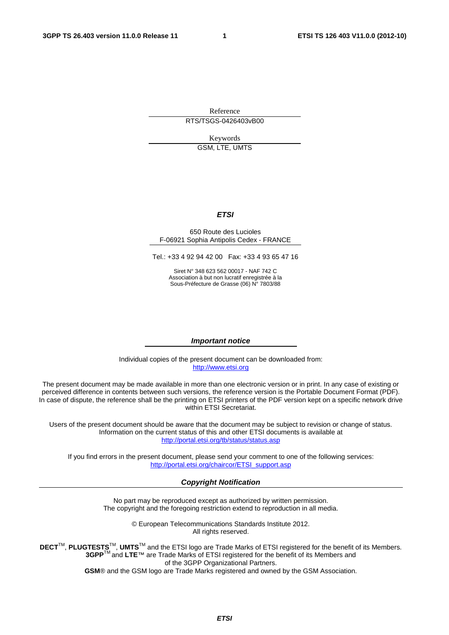Reference RTS/TSGS-0426403vB00

> Keywords GSM, LTE, UMTS

#### *ETSI*

#### 650 Route des Lucioles F-06921 Sophia Antipolis Cedex - FRANCE

Tel.: +33 4 92 94 42 00 Fax: +33 4 93 65 47 16

Siret N° 348 623 562 00017 - NAF 742 C Association à but non lucratif enregistrée à la Sous-Préfecture de Grasse (06) N° 7803/88

#### *Important notice*

Individual copies of the present document can be downloaded from: [http://www.etsi.org](http://www.etsi.org/)

The present document may be made available in more than one electronic version or in print. In any case of existing or perceived difference in contents between such versions, the reference version is the Portable Document Format (PDF). In case of dispute, the reference shall be the printing on ETSI printers of the PDF version kept on a specific network drive within ETSI Secretariat.

Users of the present document should be aware that the document may be subject to revision or change of status. Information on the current status of this and other ETSI documents is available at <http://portal.etsi.org/tb/status/status.asp>

If you find errors in the present document, please send your comment to one of the following services: [http://portal.etsi.org/chaircor/ETSI\\_support.asp](http://portal.etsi.org/chaircor/ETSI_support.asp)

#### *Copyright Notification*

No part may be reproduced except as authorized by written permission. The copyright and the foregoing restriction extend to reproduction in all media.

> © European Telecommunications Standards Institute 2012. All rights reserved.

**DECT**TM, **PLUGTESTS**TM, **UMTS**TM and the ETSI logo are Trade Marks of ETSI registered for the benefit of its Members. **3GPP**TM and **LTE**™ are Trade Marks of ETSI registered for the benefit of its Members and of the 3GPP Organizational Partners.

**GSM**® and the GSM logo are Trade Marks registered and owned by the GSM Association.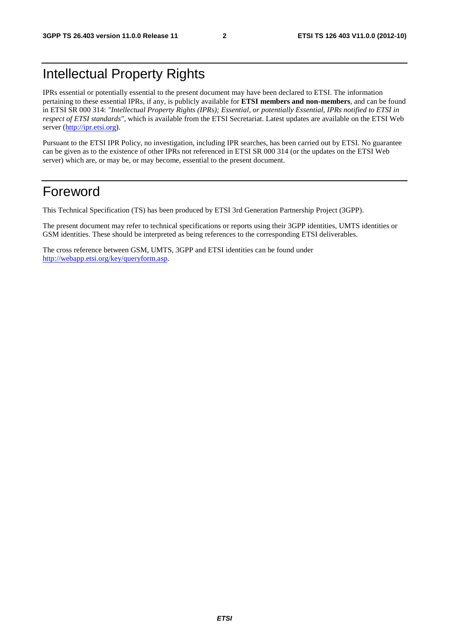# Intellectual Property Rights

IPRs essential or potentially essential to the present document may have been declared to ETSI. The information pertaining to these essential IPRs, if any, is publicly available for **ETSI members and non-members**, and can be found in ETSI SR 000 314: *"Intellectual Property Rights (IPRs); Essential, or potentially Essential, IPRs notified to ETSI in respect of ETSI standards"*, which is available from the ETSI Secretariat. Latest updates are available on the ETSI Web server [\(http://ipr.etsi.org](http://webapp.etsi.org/IPR/home.asp)).

Pursuant to the ETSI IPR Policy, no investigation, including IPR searches, has been carried out by ETSI. No guarantee can be given as to the existence of other IPRs not referenced in ETSI SR 000 314 (or the updates on the ETSI Web server) which are, or may be, or may become, essential to the present document.

# Foreword

This Technical Specification (TS) has been produced by ETSI 3rd Generation Partnership Project (3GPP).

The present document may refer to technical specifications or reports using their 3GPP identities, UMTS identities or GSM identities. These should be interpreted as being references to the corresponding ETSI deliverables.

The cross reference between GSM, UMTS, 3GPP and ETSI identities can be found under [http://webapp.etsi.org/key/queryform.asp.](http://webapp.etsi.org/key/queryform.asp)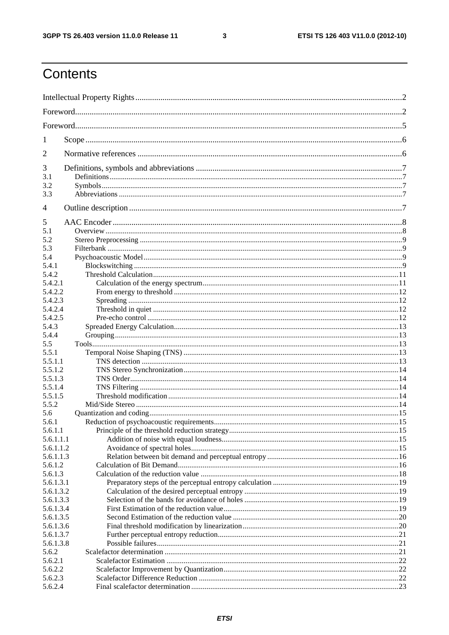$\mathbf{3}$ 

# Contents

| 1                  |  |  |  |  |  |
|--------------------|--|--|--|--|--|
| $\overline{2}$     |  |  |  |  |  |
| 3                  |  |  |  |  |  |
| 3.1                |  |  |  |  |  |
| 3.2                |  |  |  |  |  |
| 3.3                |  |  |  |  |  |
| 4                  |  |  |  |  |  |
| 5                  |  |  |  |  |  |
| 5.1                |  |  |  |  |  |
| 5.2                |  |  |  |  |  |
| 5.3                |  |  |  |  |  |
| 5.4                |  |  |  |  |  |
| 5.4.1              |  |  |  |  |  |
| 5.4.2              |  |  |  |  |  |
| 5.4.2.1            |  |  |  |  |  |
| 5.4.2.2            |  |  |  |  |  |
| 5.4.2.3            |  |  |  |  |  |
| 5.4.2.4            |  |  |  |  |  |
| 5.4.2.5            |  |  |  |  |  |
| 5.4.3              |  |  |  |  |  |
| 5.4.4              |  |  |  |  |  |
| 5.5                |  |  |  |  |  |
| 5.5.1              |  |  |  |  |  |
| 5.5.1.1            |  |  |  |  |  |
| 5.5.1.2<br>5.5.1.3 |  |  |  |  |  |
| 5.5.1.4            |  |  |  |  |  |
| 5.5.1.5            |  |  |  |  |  |
| 5.5.2              |  |  |  |  |  |
| 5.6                |  |  |  |  |  |
| 5.6.1              |  |  |  |  |  |
| 5.6.1.1            |  |  |  |  |  |
| 5.6.1.1.1          |  |  |  |  |  |
| 5.6.1.1.2          |  |  |  |  |  |
| 5.6.1.1.3          |  |  |  |  |  |
| 5.6.1.2            |  |  |  |  |  |
| 5.6.1.3            |  |  |  |  |  |
| 5.6.1.3.1          |  |  |  |  |  |
| 5.6.1.3.2          |  |  |  |  |  |
| 5.6.1.3.3          |  |  |  |  |  |
| 5.6.1.3.4          |  |  |  |  |  |
| 5.6.1.3.5          |  |  |  |  |  |
| 5.6.1.3.6          |  |  |  |  |  |
| 5.6.1.3.7          |  |  |  |  |  |
| 5.6.1.3.8          |  |  |  |  |  |
| 5.6.2<br>5.6.2.1   |  |  |  |  |  |
| 5.6.2.2            |  |  |  |  |  |
| 5.6.2.3            |  |  |  |  |  |
| 5.6.2.4            |  |  |  |  |  |
|                    |  |  |  |  |  |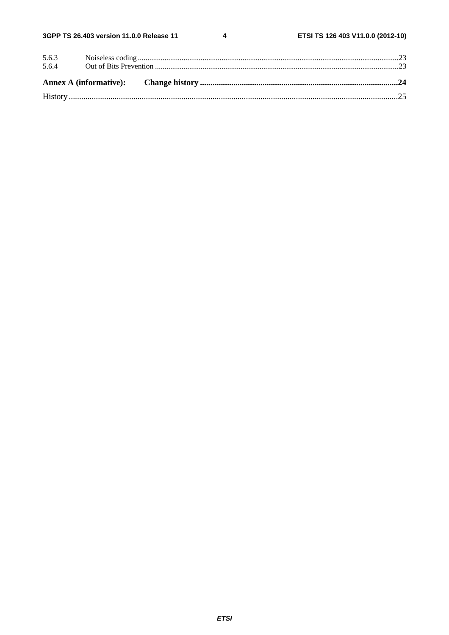$\overline{\mathbf{4}}$ 

| 5.6.3 |  |  |
|-------|--|--|
| 5.6.4 |  |  |
|       |  |  |
|       |  |  |
|       |  |  |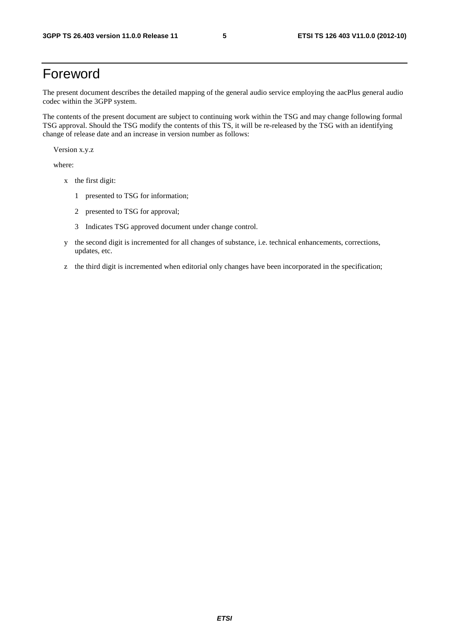# Foreword

The present document describes the detailed mapping of the general audio service employing the aacPlus general audio codec within the 3GPP system.

The contents of the present document are subject to continuing work within the TSG and may change following formal TSG approval. Should the TSG modify the contents of this TS, it will be re-released by the TSG with an identifying change of release date and an increase in version number as follows:

Version x.y.z

where:

- x the first digit:
	- 1 presented to TSG for information;
	- 2 presented to TSG for approval;
	- 3 Indicates TSG approved document under change control.
- y the second digit is incremented for all changes of substance, i.e. technical enhancements, corrections, updates, etc.
- z the third digit is incremented when editorial only changes have been incorporated in the specification;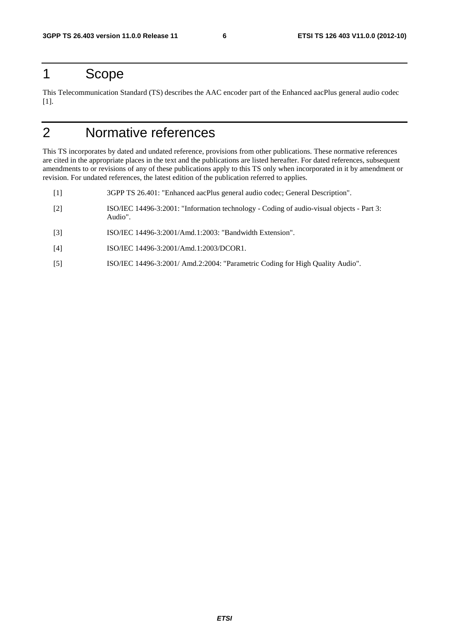# 1 Scope

This Telecommunication Standard (TS) describes the AAC encoder part of the Enhanced aacPlus general audio codec [1].

# 2 Normative references

This TS incorporates by dated and undated reference, provisions from other publications. These normative references are cited in the appropriate places in the text and the publications are listed hereafter. For dated references, subsequent amendments to or revisions of any of these publications apply to this TS only when incorporated in it by amendment or revision. For undated references, the latest edition of the publication referred to applies.

- [1] 3GPP TS 26.401: "Enhanced aacPlus general audio codec; General Description".
- [2] ISO/IEC 14496-3:2001: "Information technology Coding of audio-visual objects Part 3: Audio".
- [3] ISO/IEC 14496-3:2001/Amd.1:2003: "Bandwidth Extension".
- [4] ISO/IEC 14496-3:2001/Amd.1:2003/DCOR1.
- [5] ISO/IEC 14496-3:2001/ Amd.2:2004: "Parametric Coding for High Quality Audio".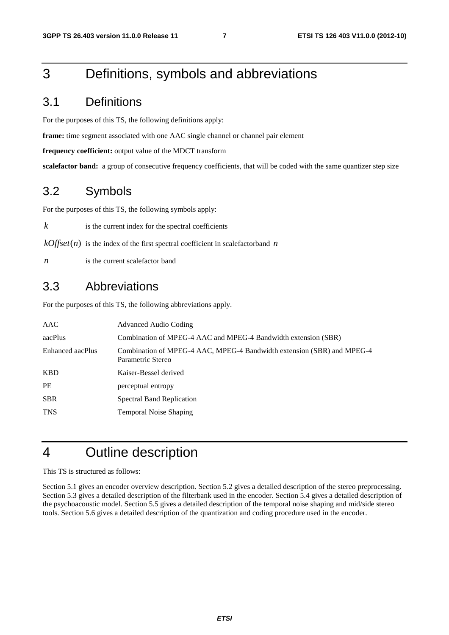# 3 Definitions, symbols and abbreviations

# 3.1 Definitions

For the purposes of this TS, the following definitions apply:

**frame:** time segment associated with one AAC single channel or channel pair element

**frequency coefficient:** output value of the MDCT transform

**scalefactor band:** a group of consecutive frequency coefficients, that will be coded with the same quantizer step size

## 3.2 Symbols

For the purposes of this TS, the following symbols apply:

 $k$  is the current index for the spectral coefficients

 $kOffset(n)$  is the index of the first spectral coefficient in scalefactorband *n* 

*n* is the current scalefactor band

### 3.3 Abbreviations

For the purposes of this TS, the following abbreviations apply.

| AAC              | Advanced Audio Coding                                                                       |
|------------------|---------------------------------------------------------------------------------------------|
| aacPlus          | Combination of MPEG-4 AAC and MPEG-4 Bandwidth extension (SBR)                              |
| Enhanced aacPlus | Combination of MPEG-4 AAC, MPEG-4 Bandwidth extension (SBR) and MPEG-4<br>Parametric Stereo |
| <b>KBD</b>       | Kaiser-Bessel derived                                                                       |
| <b>PE</b>        | perceptual entropy                                                                          |
| <b>SBR</b>       | <b>Spectral Band Replication</b>                                                            |
| <b>TNS</b>       | <b>Temporal Noise Shaping</b>                                                               |
|                  |                                                                                             |

# 4 Outline description

This TS is structured as follows:

Section 5.1 gives an encoder overview description. Section 5.2 gives a detailed description of the stereo preprocessing. Section 5.3 gives a detailed description of the filterbank used in the encoder. Section 5.4 gives a detailed description of the psychoacoustic model. Section 5.5 gives a detailed description of the temporal noise shaping and mid/side stereo tools. Section 5.6 gives a detailed description of the quantization and coding procedure used in the encoder.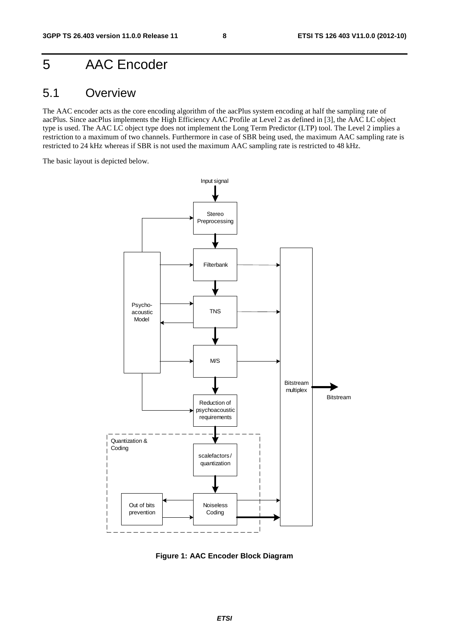# 5 AAC Encoder

### 5.1 Overview

The AAC encoder acts as the core encoding algorithm of the aacPlus system encoding at half the sampling rate of aacPlus. Since aacPlus implements the High Efficiency AAC Profile at Level 2 as defined in [3], the AAC LC object type is used. The AAC LC object type does not implement the Long Term Predictor (LTP) tool. The Level 2 implies a restriction to a maximum of two channels. Furthermore in case of SBR being used, the maximum AAC sampling rate is restricted to 24 kHz whereas if SBR is not used the maximum AAC sampling rate is restricted to 48 kHz.

The basic layout is depicted below.



**Figure 1: AAC Encoder Block Diagram**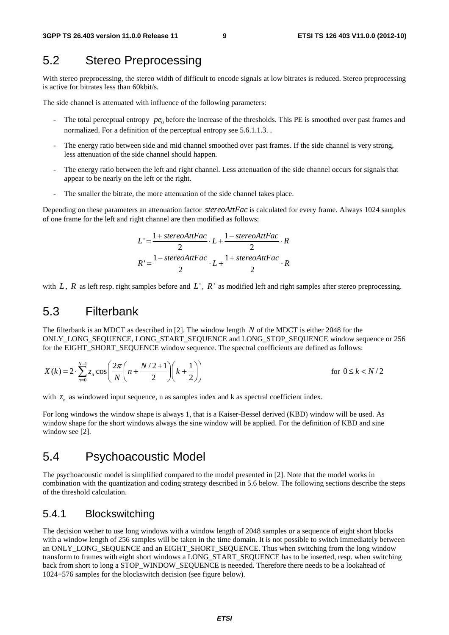# 5.2 Stereo Preprocessing

With stereo preprocessing, the stereo width of difficult to encode signals at low bitrates is reduced. Stereo preprocessing is active for bitrates less than 60kbit/s.

The side channel is attenuated with influence of the following parameters:

- The total perceptual entropy  $pe_0$  before the increase of the thresholds. This PE is smoothed over past frames and normalized. For a definition of the perceptual entropy see 5.6.1.1.3. .
- The energy ratio between side and mid channel smoothed over past frames. If the side channel is very strong, less attenuation of the side channel should happen.
- The energy ratio between the left and right channel. Less attenuation of the side channel occurs for signals that appear to be nearly on the left or the right.
- The smaller the bitrate, the more attenuation of the side channel takes place.

Depending on these parameters an attenuation factor *stereoAttFac* is calculated for every frame. Always 1024 samples of one frame for the left and right channel are then modified as follows:

$$
L' = \frac{1 + stereoAttFac}{2} \cdot L + \frac{1 - stereoAttFac}{2} \cdot R
$$

$$
R' = \frac{1 - stereoAttFac}{2} \cdot L + \frac{1 + stereoAttFac}{2} \cdot R
$$

with  $L$ ,  $R$  as left resp. right samples before and  $L'$ ,  $R'$  as modified left and right samples after stereo preprocessing.

### 5.3 Filterbank

The filterbank is an MDCT as described in [2]. The window length *N* of the MDCT is either 2048 for the ONLY\_LONG\_SEQUENCE, LONG\_START\_SEQUENCE and LONG\_STOP\_SEQUENCE window sequence or 256 for the EIGHT\_SHORT\_SEQUENCE window sequence. The spectral coefficients are defined as follows:

$$
X(k) = 2 \cdot \sum_{n=0}^{N-1} z_n \cos \left( \frac{2\pi}{N} \left( n + \frac{N/2 + 1}{2} \right) \left( k + \frac{1}{2} \right) \right)
$$
 for  $0 \le k < N/2$ 

with  $z_n$  as windowed input sequence, n as samples index and k as spectral coefficient index.

For long windows the window shape is always 1, that is a Kaiser-Bessel derived (KBD) window will be used. As window shape for the short windows always the sine window will be applied. For the definition of KBD and sine window see [2].

### 5.4 Psychoacoustic Model

The psychoacoustic model is simplified compared to the model presented in [2]. Note that the model works in combination with the quantization and coding strategy described in 5.6 below. The following sections describe the steps of the threshold calculation.

### 5.4.1 Blockswitching

The decision wether to use long windows with a window length of 2048 samples or a sequence of eight short blocks with a window length of 256 samples will be taken in the time domain. It is not possible to switch immediately between an ONLY\_LONG\_SEQUENCE and an EIGHT\_SHORT\_SEQUENCE. Thus when switching from the long window transform to frames with eight short windows a LONG\_START\_SEQUENCE has to be inserted, resp. when switching back from short to long a STOP\_WINDOW\_SEQUENCE is neeeded. Therefore there needs to be a lookahead of 1024+576 samples for the blockswitch decision (see figure below).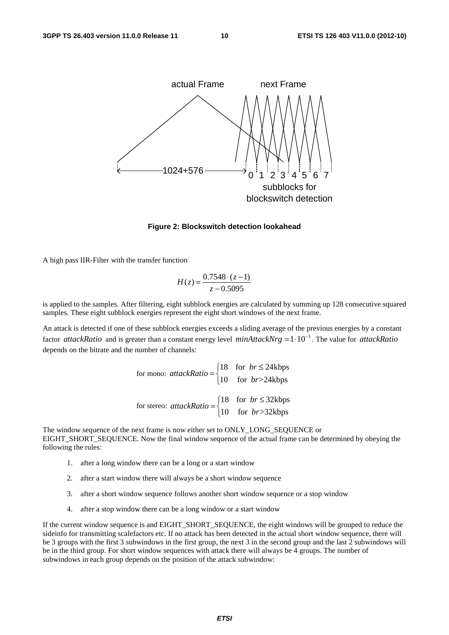

#### **Figure 2: Blockswitch detection lookahead**

A high pass IIR-Filter with the transfer function

$$
H(z) = \frac{0.7548 \cdot (z - 1)}{z - 0.5095}
$$

is applied to the samples. After filtering, eight subblock energies are calculated by summing up 128 consecutive squared samples. These eight subblock energies represent the eight short windows of the next frame.

An attack is detected if one of these subblock energies exceeds a sliding average of the previous energies by a constant factor *attackRatio* and is greater than a constant energy level *minAttackNrg* =  $1 \cdot 10^{-3}$ . The value for *attackRatio* depends on the bitrate and the number of channels:

for mono:  $attackRatio = \begin{cases} 18 & \text{for } br \leq 24kbps \ 10 & \text{if } s \leq 2411 \end{cases}$ 10 for  $br> > 24kbps$ *br attackRatio*  $= \begin{cases} 18 & \text{for } br \le \\ 10 & \text{for } br > \end{cases}$  $\overline{a}$ for stereo:  $\arctan\left(\frac{18}{18}\right)$  for  $br \leq 32$ kbps 10 for  $br> >32 kbps$ *br attackRatio*  $= \begin{cases} 18 & \text{for } br \le \\ 10 & \text{for } br > \end{cases}$ 

The window sequence of the next frame is now either set to ONLY\_LONG\_SEQUENCE or EIGHT\_SHORT\_SEQUENCE. Now the final window sequence of the actual frame can be determined by obeying the following the rules:

 $\overline{a}$ 

- 1. after a long window there can be a long or a start window
- 2. after a start window there will always be a short window sequence
- 3. after a short window sequence follows another short window sequence or a stop window
- 4. after a stop window there can be a long window or a start window

If the current window sequence is and EIGHT\_SHORT\_SEQUENCE, the eight windows will be grouped to reduce the sideinfo for transmitting scalefactors etc. If no attack has been detected in the actual short window sequence, there will be 3 groups with the first 3 subwindows in the first group, the next 3 in the second group and the last 2 subwindows will be in the third group. For short window sequences with attack there will always be 4 groups. The number of subwindows in each group depends on the position of the attack subwindow: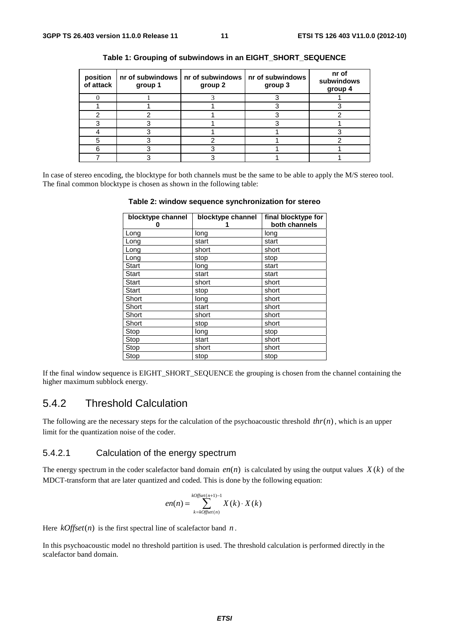| position<br>of attack | group 1 | nr of subwindows $ $ nr of subwindows $ $ nr of subwindows<br>group 2 | group 3 | nr of<br>subwindows<br>group 4 |
|-----------------------|---------|-----------------------------------------------------------------------|---------|--------------------------------|
|                       |         |                                                                       |         |                                |
|                       |         |                                                                       |         |                                |
|                       |         |                                                                       |         |                                |
|                       |         |                                                                       |         |                                |
|                       |         |                                                                       |         |                                |
|                       |         |                                                                       |         |                                |
|                       |         |                                                                       |         |                                |
|                       |         |                                                                       |         |                                |

| Table 1: Grouping of subwindows in an EIGHT_SHORT_SEQUENCE |  |  |
|------------------------------------------------------------|--|--|
|                                                            |  |  |

In case of stereo encoding, the blocktype for both channels must be the same to be able to apply the M/S stereo tool. The final common blocktype is chosen as shown in the following table:

| Table 2: window sequence synchronization for stereo |  |  |  |
|-----------------------------------------------------|--|--|--|
|-----------------------------------------------------|--|--|--|

| blocktype channel<br>O | blocktype channel | final blocktype for<br>both channels |
|------------------------|-------------------|--------------------------------------|
| Long                   | long              | long                                 |
| Long                   | start             | start                                |
| Long                   | short             | short                                |
| Long                   | stop              | stop                                 |
| <b>Start</b>           | long              | start                                |
| <b>Start</b>           | start             | start                                |
| <b>Start</b>           | short             | short                                |
| <b>Start</b>           | stop              | short                                |
| Short                  | long              | short                                |
| Short                  | start             | short                                |
| Short                  | short             | short                                |
| Short                  | stop              | short                                |
| Stop                   | long              | stop                                 |
| Stop                   | start             | short                                |
| Stop                   | short             | short                                |
| Stop                   | stop              | stop                                 |

If the final window sequence is EIGHT\_SHORT\_SEQUENCE the grouping is chosen from the channel containing the higher maximum subblock energy.

### 5.4.2 Threshold Calculation

The following are the necessary steps for the calculation of the psychoacoustic threshold  $thr(n)$ , which is an upper limit for the quantization noise of the coder.

#### 5.4.2.1 Calculation of the energy spectrum

The energy spectrum in the coder scalefactor band domain  $en(n)$  is calculated by using the output values  $X(k)$  of the MDCT-transform that are later quantized and coded. This is done by the following equation:

$$
en(n) = \sum_{k=k^\circ}}^{k^\circ} X(k) \cdot X(k)
$$

Here  $kOffset(n)$  is the first spectral line of scalefactor band *n*.

In this psychoacoustic model no threshold partition is used. The threshold calculation is performed directly in the scalefactor band domain.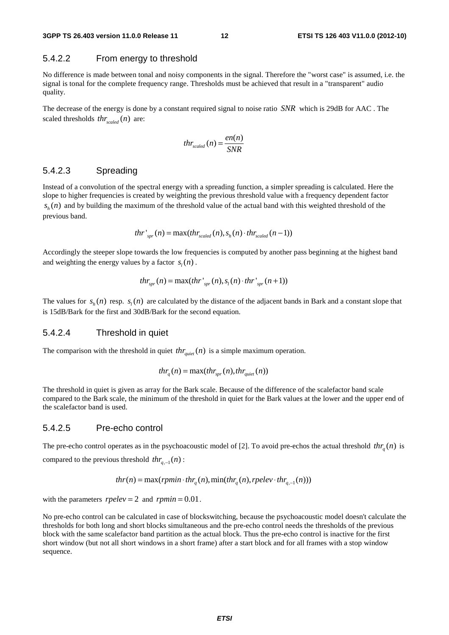#### 5.4.2.2 From energy to threshold

No difference is made between tonal and noisy components in the signal. Therefore the "worst case" is assumed, i.e. the signal is tonal for the complete frequency range. Thresholds must be achieved that result in a "transparent" audio quality.

The decrease of the energy is done by a constant required signal to noise ratio *SNR* which is 29dB for AAC . The scaled thresholds  $thr_{scaled}(n)$  are:

$$
thr_{scaled}(n) = \frac{en(n)}{SNR}
$$

#### 5.4.2.3 Spreading

Instead of a convolution of the spectral energy with a spreading function, a simpler spreading is calculated. Here the slope to higher frequencies is created by weighting the previous threshold value with a frequency dependent factor  $s<sub>k</sub>(n)$  and by building the maximum of the threshold value of the actual band with this weighted threshold of the previous band.

$$
thr'_{spr}(n) = \max(thr_{scaled}(n), s_h(n) \cdot thr_{scaled}(n-1))
$$

Accordingly the steeper slope towards the low frequencies is computed by another pass beginning at the highest band and weighting the energy values by a factor  $s<sub>i</sub>(n)$ .

$$
thr_{spr}(n) = \max(thr'_{spr}(n), s_l(n) \cdot thr'_{spr}(n+1))
$$

The values for  $s<sub>k</sub>(n)$  resp.  $s<sub>k</sub>(n)$  are calculated by the distance of the adjacent bands in Bark and a constant slope that is 15dB/Bark for the first and 30dB/Bark for the second equation.

#### 5.4.2.4 Threshold in quiet

The comparison with the threshold in quiet  $thr_{\text{quiet}}(n)$  is a simple maximum operation.

$$
thr_q(n) = \max(thr_{spr}(n), thr_{quiet}(n))
$$

The threshold in quiet is given as array for the Bark scale. Because of the difference of the scalefactor band scale compared to the Bark scale, the minimum of the threshold in quiet for the Bark values at the lower and the upper end of the scalefactor band is used.

#### 5.4.2.5 Pre-echo control

The pre-echo control operates as in the psychoacoustic model of [2]. To avoid pre-echos the actual threshold  $thr<sub>a</sub>(n)$  is compared to the previous threshold  $thr_{n-1}(n)$ :

$$
thr(n) = \max(rpmin \cdot thr_q(n), \min(thr_q(n), rpelev \cdot thr_{q,-1}(n)))
$$

with the parameters  $rpelve = 2$  and  $rpmin = 0.01$ .

No pre-echo control can be calculated in case of blockswitching, because the psychoacoustic model doesn't calculate the thresholds for both long and short blocks simultaneous and the pre-echo control needs the thresholds of the previous block with the same scalefactor band partition as the actual block. Thus the pre-echo control is inactive for the first short window (but not all short windows in a short frame) after a start block and for all frames with a stop window sequence.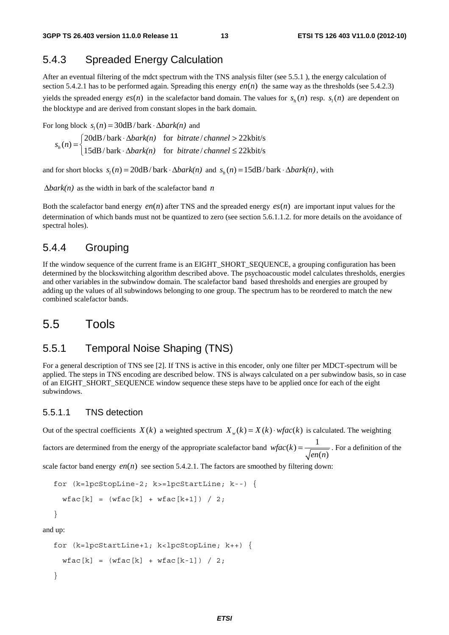### 5.4.3 Spreaded Energy Calculation

After an eventual filtering of the mdct spectrum with the TNS analysis filter (see 5.5.1 ), the energy calculation of section 5.4.2.1 has to be performed again. Spreading this energy  $en(n)$  the same way as the thresholds (see 5.4.2.3) yields the spreaded energy  $es(n)$  in the scalefactor band domain. The values for  $s<sub>i</sub>(n)$  resp.  $s<sub>i</sub>(n)$  are dependent on the blocktype and are derived from constant slopes in the bark domain.

For long block  $s_i(n) = 30dB/bark \cdot \Delta bark(n)$  and

 $20dB/bark \cdot \Delta bark(n)$  for *bitrate* / *channel* >  $22kbit/s$  $h_n(n) = \begin{cases} -\cos\theta & \text{for } n \neq n, \\ 15dB/\text{bark} & \text{for } \text{bitrate}/\text{channel} \leq 22\text{kbits} \end{cases}$ *bark(n)* for *bitrate* / *channel s n*  $\begin{aligned} = \begin{cases} 20 \text{dB}/\text{bark} \cdot \Delta bark(n) & \text{for} \; \text{bitrate}/\text{channel} > \\ 15 \text{dB}/\text{bark} \cdot \Delta bark(n) & \text{for} \; \text{bitrate}/\text{channel} \leq \end{cases} \end{aligned}$  $\lfloor 15dB/bark \cdot \Delta bark(n) \rfloor$  for *bitrate* / *channel*  $\leq$ 

and for short blocks  $s_i(n) = 20dB/bark \cdot \Delta bark(n)$  and  $s_i(n) = 15dB/bark \cdot \Delta bark(n)$ , with

Δ*bark(n)* as the width in bark of the scalefactor band *n*

Both the scalefactor band energy *en*(*n*) after TNS and the spreaded energy  $es(n)$  are important input values for the determination of which bands must not be quantized to zero (see section 5.6.1.1.2. for more details on the avoidance of spectral holes).

#### 5.4.4 Grouping

If the window sequence of the current frame is an EIGHT\_SHORT\_SEQUENCE, a grouping configuration has been determined by the blockswitching algorithm described above. The psychoacoustic model calculates thresholds, energies and other variables in the subwindow domain. The scalefactor band based thresholds and energies are grouped by adding up the values of all subwindows belonging to one group. The spectrum has to be reordered to match the new combined scalefactor bands.

### 5.5 Tools

#### 5.5.1 Temporal Noise Shaping (TNS)

For a general description of TNS see [2]. If TNS is active in this encoder, only one filter per MDCT-spectrum will be applied. The steps in TNS encoding are described below. TNS is always calculated on a per subwindow basis, so in case of an EIGHT\_SHORT\_SEQUENCE window sequence these steps have to be applied once for each of the eight subwindows.

#### 5.5.1.1 TNS detection

Out of the spectral coefficients  $X(k)$  a weighted spectrum  $X_{w}(k) = X(k) \cdot wfac(k)$  is calculated. The weighting

factors are determined from the energy of the appropriate scalefactor band  $wfac(k) = \frac{1}{\sqrt{en(n)}}$ . For a definition of the

scale factor band energy  $en(n)$  see section 5.4.2.1. The factors are smoothed by filtering down:

```
for (k=lpcStopLine-2; k>=lpcStartLine; k--) { 
 wfac[k] = (wfac[k] + wfac[k+1]) / 2;}
```
and up:

```
for (k=lpcStartLine+1; k<lpcStopLine; k++) { 
 wfac[k] = (wfac[k] + wfac[k-1]) / 2;}
```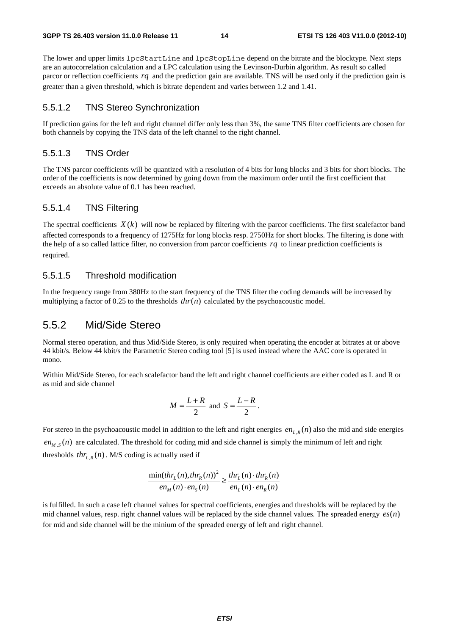The lower and upper limits lpcStartLine and lpcStopLine depend on the bitrate and the blocktype. Next steps are an autocorrelation calculation and a LPC calculation using the Levinson-Durbin algorithm. As result so called parcor or reflection coefficients *rq* and the prediction gain are available. TNS will be used only if the prediction gain is greater than a given threshold, which is bitrate dependent and varies between 1.2 and 1.41.

#### 5.5.1.2 TNS Stereo Synchronization

If prediction gains for the left and right channel differ only less than 3%, the same TNS filter coefficients are chosen for both channels by copying the TNS data of the left channel to the right channel.

#### 5.5.1.3 TNS Order

The TNS parcor coefficients will be quantized with a resolution of 4 bits for long blocks and 3 bits for short blocks. The order of the coefficients is now determined by going down from the maximum order until the first coefficient that exceeds an absolute value of 0.1 has been reached.

#### 5.5.1.4 TNS Filtering

The spectral coefficients  $X(k)$  will now be replaced by filtering with the parcor coefficients. The first scalefactor band affected corresponds to a frequency of 1275Hz for long blocks resp. 2750Hz for short blocks. The filtering is done with the help of a so called lattice filter, no conversion from parcor coefficients *rq* to linear prediction coefficients is required.

#### 5.5.1.5 Threshold modification

In the frequency range from 380Hz to the start frequency of the TNS filter the coding demands will be increased by multiplying a factor of 0.25 to the thresholds  $thr(n)$  calculated by the psychoacoustic model.

#### 5.5.2 Mid/Side Stereo

Normal stereo operation, and thus Mid/Side Stereo, is only required when operating the encoder at bitrates at or above 44 kbit/s. Below 44 kbit/s the Parametric Stereo coding tool [5] is used instead where the AAC core is operated in mono.

Within Mid/Side Stereo, for each scalefactor band the left and right channel coefficients are either coded as L and R or as mid and side channel

$$
M = \frac{L+R}{2} \text{ and } S = \frac{L-R}{2}.
$$

For stereo in the psychoacoustic model in addition to the left and right energies  $en_{L,R}(n)$  also the mid and side energies  $en_{M,S}(n)$  are calculated. The threshold for coding mid and side channel is simply the minimum of left and right thresholds  $thr_{LR}(n)$ . M/S coding is actually used if

$$
\frac{\min(thr_L(n), thr_R(n))^2}{en_M(n)\cdot en_S(n)} \ge \frac{thr_L(n)\cdot thr_R(n)}{en_L(n)\cdot en_R(n)}
$$

is fulfilled. In such a case left channel values for spectral coefficients, energies and thresholds will be replaced by the mid channel values, resp. right channel values will be replaced by the side channel values. The spreaded energy  $es(n)$ for mid and side channel will be the minium of the spreaded energy of left and right channel.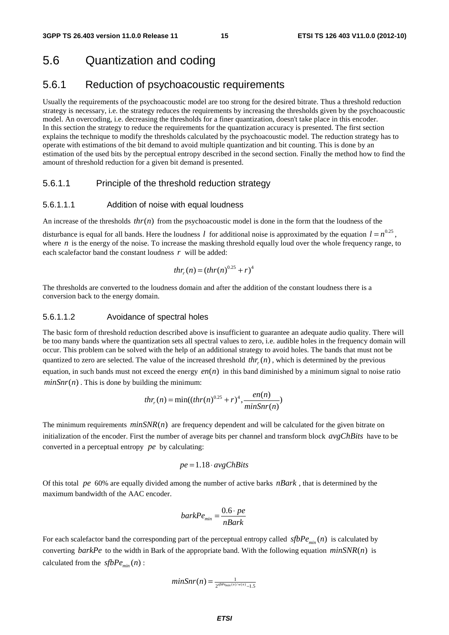## 5.6 Quantization and coding

### 5.6.1 Reduction of psychoacoustic requirements

Usually the requirements of the psychoacoustic model are too strong for the desired bitrate. Thus a threshold reduction strategy is necessary, i.e. the strategy reduces the requirements by increasing the thresholds given by the psychoacoustic model. An overcoding, i.e. decreasing the thresholds for a finer quantization, doesn't take place in this encoder. In this section the strategy to reduce the requirements for the quantization accuracy is presented. The first section explains the technique to modify the thresholds calculated by the psychoacoustic model. The reduction strategy has to operate with estimations of the bit demand to avoid multiple quantization and bit counting. This is done by an estimation of the used bits by the perceptual entropy described in the second section. Finally the method how to find the amount of threshold reduction for a given bit demand is presented.

#### 5.6.1.1 Principle of the threshold reduction strategy

#### 5.6.1.1.1 Addition of noise with equal loudness

An increase of the thresholds  $thr(n)$  from the psychoacoustic model is done in the form that the loudness of the

disturbance is equal for all bands. Here the loudness *l* for additional noise is approximated by the equation  $l = n^{0.25}$ , where  $n$  is the energy of the noise. To increase the masking threshold equally loud over the whole frequency range, to each scalefactor band the constant loudness *r* will be added:

$$
thr_r(n) = (thr(n)^{0.25} + r)^4
$$

The thresholds are converted to the loudness domain and after the addition of the constant loudness there is a conversion back to the energy domain.

#### 5.6.1.1.2 Avoidance of spectral holes

The basic form of threshold reduction described above is insufficient to guarantee an adequate audio quality. There will be too many bands where the quantization sets all spectral values to zero, i.e. audible holes in the frequency domain will occur. This problem can be solved with the help of an additional strategy to avoid holes. The bands that must not be quantized to zero are selected. The value of the increased threshold  $thr(n)$ , which is determined by the previous equation, in such bands must not exceed the energy  $en(n)$  in this band diminished by a minimum signal to noise ratio  $minSnr(n)$ . This is done by building the minimum:

$$
thr_r(n) = \min((thr(n)^{0.25} + r)^4, \frac{en(n)}{minSnr(n)}
$$

The minimum requirements  $minSNR(n)$  are frequency dependent and will be calculated for the given bitrate on initialization of the encoder. First the number of average bits per channel and transform block *avgChBits* have to be converted in a perceptual entropy *pe* by calculating:

$$
pe = 1.18 \cdot avgChBits
$$

Of this total *pe* 60% are equally divided among the number of active barks *nBark* , that is determined by the maximum bandwidth of the AAC encoder.

$$
barkPe_{\min} = \frac{0.6 \cdot pe}{nBark}
$$

For each scalefactor band the corresponding part of the perceptual entropy called  $sfbPe_{\text{min}}(n)$  is calculated by converting *barkPe* to the width in Bark of the appropriate band. With the following equation  $minSNR(n)$  is calculated from the  $sfbPe_{min}(n)$ :

$$
minSnr(n) = \frac{1}{2^{sfbP_{e_{min}(n)/w(n)}}-1.5}
$$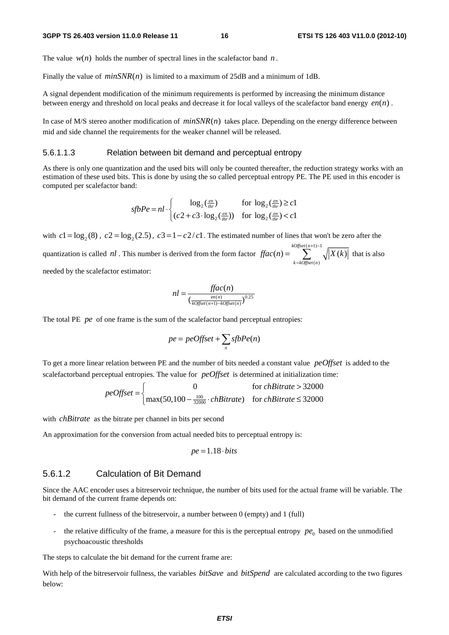The value  $w(n)$  holds the number of spectral lines in the scalefactor band *n*.

Finally the value of  $minSNR(n)$  is limited to a maximum of 25dB and a minimum of 1dB.

A signal dependent modification of the minimum requirements is performed by increasing the minimum distance between energy and threshold on local peaks and decrease it for local valleys of the scalefactor band energy  $en(n)$ .

In case of M/S stereo another modification of  $minSNR(n)$  takes place. Depending on the energy difference between mid and side channel the requirements for the weaker channel will be released.

#### 5.6.1.1.3 Relation between bit demand and perceptual entropy

As there is only one quantization and the used bits will only be counted thereafter, the reduction strategy works with an estimation of these used bits. This is done by using the so called perceptual entropy PE. The PE used in this encoder is computed per scalefactor band:

$$
sfbPe = nl \cdot \begin{cases} \log_2(\frac{en}{thr}) & \text{for } \log_2(\frac{en}{thr}) \ge c1\\ (c2 + c3 \cdot \log_2(\frac{en}{thr})) & \text{for } \log_2(\frac{en}{thr}) < c1 \end{cases}
$$

with  $c_1 = \log_2(8)$ ,  $c_2 = \log_2(2.5)$ ,  $c_3 = 1 - c_2/c_1$ . The estimated number of lines that won't be zero after the quantization is called *nl*. This number is derived from the form factor  $\iint ac(n) =$  $(n)$  $(n) = \sum_{k=1}^{\infty} \sqrt{X(k)}$ *kOffset n k kOffset n*  $\text{frac}(n) = \sum_{x} \sqrt{|X(k)|}$  $+1)$  –  $=\sum_{k= kofiset(n)}^{k=0} \sqrt{|X(k)|}$  that is also

needed by the scalefactor estimator:

$$
nl = \frac{ffac(n)}{\left(\frac{en(n)}{kOffset(n+1)-kOffset(n)}\right)^{0.25}}
$$

The total PE *pe* of one frame is the sum of the scalefactor band perceptual entropies:

$$
pe = peOffset + \sum_{n} sfbPe(n)
$$

To get a more linear relation between PE and the number of bits needed a constant value *peOffset* is added to the scalefactorband perceptual entropies. The value for *peOffset* is determined at initialization time:

$$
peOffset = \begin{cases} 0 & \text{for chBitrate} > 32000\\ \max(50, 100 - \frac{100}{32000} \cdot chBitrate) & \text{for chBitrate} \le 32000 \end{cases}
$$

with *chBitrate* as the bitrate per channel in bits per second

An approximation for the conversion from actual needed bits to perceptual entropy is:

$$
pe = 1.18 \cdot bits
$$

#### 5.6.1.2 Calculation of Bit Demand

Since the AAC encoder uses a bitreservoir technique, the number of bits used for the actual frame will be variable. The bit demand of the current frame depends on:

- the current fullness of the bitreservoir, a number between  $0$  (empty) and  $1$  (full)
- the relative difficulty of the frame, a measure for this is the perceptual entropy  $pe_0$  based on the unmodified psychoacoustic thresholds

The steps to calculate the bit demand for the current frame are:

With help of the bitreservoir fullness, the variables *bitSave* and *bitSpend* are calculated according to the two figures below: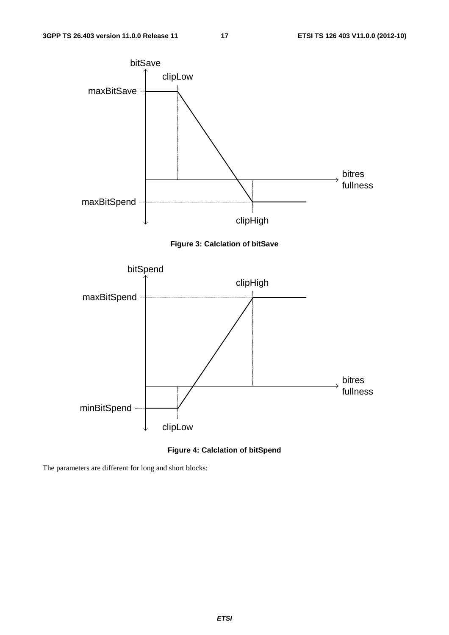

#### **Figure 4: Calclation of bitSpend**

The parameters are different for long and short blocks: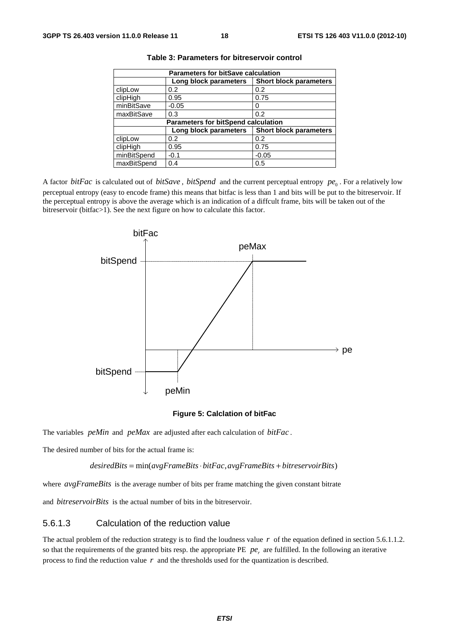| <b>Parameters for bitSave calculation</b>  |                       |                               |  |  |  |  |  |
|--------------------------------------------|-----------------------|-------------------------------|--|--|--|--|--|
|                                            | Long block parameters | <b>Short block parameters</b> |  |  |  |  |  |
| clipLow                                    | 0.2                   | 0.2                           |  |  |  |  |  |
| clipHigh                                   | 0.95                  | 0.75                          |  |  |  |  |  |
| minBitSave                                 | $-0.05$               | $\Omega$                      |  |  |  |  |  |
| maxBitSave                                 | 0.3                   | 0.2                           |  |  |  |  |  |
| <b>Parameters for bitSpend calculation</b> |                       |                               |  |  |  |  |  |
|                                            | Long block parameters | <b>Short block parameters</b> |  |  |  |  |  |
| clipLow                                    | 0.2                   | 0.2                           |  |  |  |  |  |
| clipHigh                                   | 0.95                  | 0.75                          |  |  |  |  |  |
| minBitSpend                                | $-0.1$                | $-0.05$                       |  |  |  |  |  |
| maxBitSpend                                | 0.4                   | 0.5                           |  |  |  |  |  |

**Table 3: Parameters for bitreservoir control** 

A factor *bitFac* is calculated out of *bitSave*, *bitSpend* and the current perceptual entropy  $pe_0$ . For a relatively low perceptual entropy (easy to encode frame) this means that bitfac is less than 1 and bits will be put to the bitreservoir. If the perceptual entropy is above the average which is an indication of a diffcult frame, bits will be taken out of the bitreservoir (bitfac>1). See the next figure on how to calculate this factor.



#### **Figure 5: Calclation of bitFac**

The variables *peMin* and *peMax* are adjusted after each calculation of *bitFac* .

The desired number of bits for the actual frame is:

 $desiredBits = min(avgFrameBits \cdot bitFac, avgFrameBits + bitreservoirBits)$ 

where *avgFrameBits* is the average number of bits per frame matching the given constant bitrate

and *bitreservoirBits* is the actual number of bits in the bitreservoir.

#### 5.6.1.3 Calculation of the reduction value

The actual problem of the reduction strategy is to find the loudness value *r* of the equation defined in section 5.6.1.1.2. so that the requirements of the granted bits resp. the appropriate PE  $pe_r$  are fulfilled. In the following an iterative process to find the reduction value *r* and the thresholds used for the quantization is described.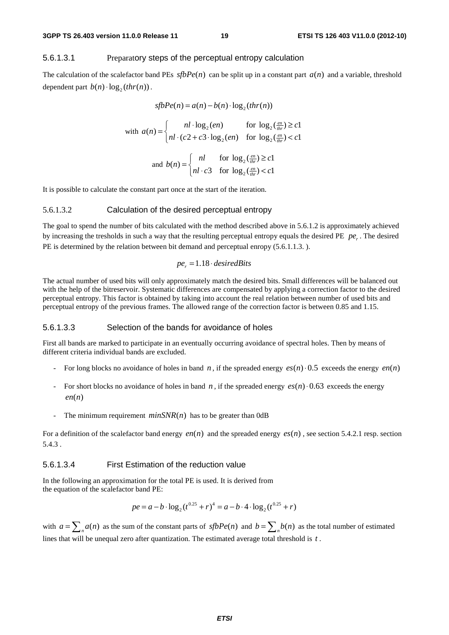#### 5.6.1.3.1 Preparatory steps of the perceptual entropy calculation

The calculation of the scalefactor band PEs  $sfbPe(n)$  can be split up in a constant part  $a(n)$  and a variable, threshold dependent part  $b(n) \cdot \log_2(thr(n))$ .

$$
sfbPe(n) = a(n) - b(n) \cdot \log_2(thr(n))
$$
  
with 
$$
a(n) = \begin{cases} nl \cdot \log_2(en) & \text{for } \log_2(\frac{en}{hr}) \ge c1 \\ nl \cdot (c2 + c3 \cdot \log_2(en) & \text{for } \log_2(\frac{en}{hr}) < c1 \end{cases}
$$

and 
$$
b(n) = \begin{cases} nl & \text{for } \log_2(\frac{en}{thr}) \ge c1 \\ nl \cdot c3 & \text{for } \log_2(\frac{en}{thr}) < c1 \end{cases}
$$

It is possible to calculate the constant part once at the start of the iteration.

#### 5.6.1.3.2 Calculation of the desired perceptual entropy

The goal to spend the number of bits calculated with the method described above in 5.6.1.2 is approximately achieved by increasing the tresholds in such a way that the resulting perceptual entropy equals the desired PE  $pe_r$ . The desired PE is determined by the relation between bit demand and perceptual enropy (5.6.1.1.3.).

$$
pe_r = 1.18 \cdot desiredBits
$$

The actual number of used bits will only approximately match the desired bits. Small differences will be balanced out with the help of the bitreservoir. Systematic differences are compensated by applying a correction factor to the desired perceptual entropy. This factor is obtained by taking into account the real relation between number of used bits and perceptual entropy of the previous frames. The allowed range of the correction factor is between 0.85 and 1.15.

#### 5.6.1.3.3 Selection of the bands for avoidance of holes

First all bands are marked to participate in an eventually occurring avoidance of spectral holes. Then by means of different criteria individual bands are excluded.

- For long blocks no avoidance of holes in band *n*, if the spreaded energy  $es(n) \cdot 0.5$  exceeds the energy  $en(n)$
- For short blocks no avoidance of holes in band *n*, if the spreaded energy  $es(n) \cdot 0.63$  exceeds the energy  $en(n)$
- The minimum requirement  $minSNR(n)$  has to be greater than 0dB

For a definition of the scalefactor band energy  $en(n)$  and the spreaded energy  $es(n)$ , see section 5.4.2.1 resp. section 5.4.3 .

#### 5.6.1.3.4 First Estimation of the reduction value

In the following an approximation for the total PE is used. It is derived from the equation of the scalefactor band PE:

$$
pe = a - b \cdot \log_2(t^{0.25} + r)^4 = a - b \cdot 4 \cdot \log_2(t^{0.25} + r)
$$

with  $a = \sum_{n=1}^{n} a(n)$  as the sum of the constant parts of  $sfbPe(n)$  and  $b = \sum_{n=1}^{n} b(n)$  as the total number of estimated lines that will be unequal zero after quantization. The estimated average total threshold is *t* .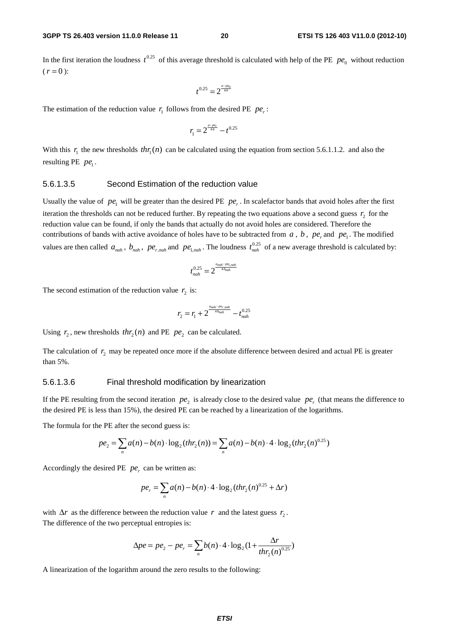In the first iteration the loudness  $t^{0.25}$  of this average threshold is calculated with help of the PE  $pe_0$  without reduction  $(r = 0)$ :

$$
t^{0.25}=2^{\frac{a-p e_0}{4b}}
$$

The estimation of the reduction value  $r_1$  follows from the desired PE  $pe_r$ :

$$
r_1 = 2^{\frac{a - pe_r}{4b}} - t^{0.25}
$$

With this  $r_1$  the new thresholds  $thr_1(n)$  can be calculated using the equation from section 5.6.1.1.2. and also the resulting PE  $pe_1$ .

#### 5.6.1.3.5 Second Estimation of the reduction value

Usually the value of  $pe_1$  will be greater than the desired PE  $pe_r$ . In scalefactor bands that avoid holes after the first iteration the thresholds can not be reduced further. By repeating the two equations above a second guess  $r<sub>2</sub>$  for the reduction value can be found, if only the bands that actually do not avoid holes are considered. Therefore the contributions of bands with active avoidance of holes have to be subtracted from  $a$ ,  $b$ ,  $pe$ <sub>r</sub> and  $pe_1$ . The modified values are then called  $a_{nah}$ ,  $b_{nah}$ ,  $pe_{r,nah}$  and  $pe_{1,nah}$ . The loudness  $t_{nah}^{0.25}$  of a new average threshold is calculated by:

$$
t_{nah}^{0.25} = 2^{\frac{a_{nah} - pe_{1,nah}}{4 \cdot b_{nah}}}
$$

The second estimation of the reduction value  $r<sub>2</sub>$  is:

$$
r_2 = r_1 + 2^{\frac{a_{nah} - pe_{r, nah}}{4b_{nah}}} - t_{nah}^{0.25}
$$

Using  $r_2$ , new thresholds  $thr_2(n)$  and PE  $pe_2$  can be calculated.

The calculation of  $r_2$  may be repeated once more if the absolute difference between desired and actual PE is greater than 5%.

#### 5.6.1.3.6 Final threshold modification by linearization

If the PE resulting from the second iteration  $pe_2$  is already close to the desired value  $pe_1$  (that means the difference to the desired PE is less than 15%), the desired PE can be reached by a linearization of the logarithms.

The formula for the PE after the second guess is:

$$
pe_2 = \sum_n a(n) - b(n) \cdot \log_2(thr_2(n)) = \sum_n a(n) - b(n) \cdot 4 \cdot \log_2(thr_2(n)^{0.25})
$$

Accordingly the desired PE  $pe_r$  can be written as:

$$
pe_r = \sum_n a(n) - b(n) \cdot 4 \cdot \log_2(thr_2(n)^{0.25} + \Delta r)
$$

with  $\Delta r$  as the difference between the reduction value *r* and the latest guess  $r_2$ . The difference of the two perceptual entropies is:

$$
\Delta pe = pe_2 - pe_r = \sum_n b(n) \cdot 4 \cdot \log_2(1 + \frac{\Delta r}{thr_2(n)^{0.25}})
$$

A linearization of the logarithm around the zero results to the following: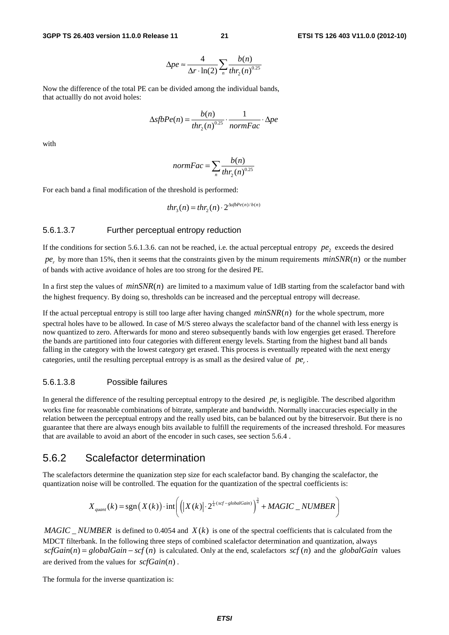$$
\Delta pe \approx \frac{4}{\Delta r \cdot \ln(2)} \sum_{n} \frac{b(n)}{thr_2(n)^{0.25}}
$$

Now the difference of the total PE can be divided among the individual bands, that actuallly do not avoid holes:

$$
\Delta sfbPe(n) = \frac{b(n)}{thr_2(n)^{0.25}} \cdot \frac{1}{normFac} \cdot \Delta pe
$$

with

$$
normFac = \sum_{n} \frac{b(n)}{thr_2(n)^{0.25}}
$$

For each band a final modification of the threshold is performed:

$$
thr_{3}(n) = thr_{2}(n) \cdot 2^{\Delta sfbPe(n)/b(n)}
$$

#### 5.6.1.3.7 Further perceptual entropy reduction

If the conditions for section 5.6.1.3.6. can not be reached, i.e. the actual perceptual entropy  $pe_1$ , exceeds the desired  $pe_r$  by more than 15%, then it seems that the constraints given by the minum requirements  $minSNR(n)$  or the number of bands with active avoidance of holes are too strong for the desired PE.

In a first step the values of  $minSNR(n)$  are limited to a maximum value of 1dB starting from the scalefactor band with the highest frequency. By doing so, thresholds can be increased and the perceptual entropy will decrease.

If the actual perceptual entropy is still too large after having changed  $minSNR(n)$  for the whole spectrum, more spectral holes have to be allowed. In case of M/S stereo always the scalefactor band of the channel with less energy is now quantized to zero. Afterwards for mono and stereo subsequently bands with low engergies get erased. Therefore the bands are partitioned into four categories with different energy levels. Starting from the highest band all bands falling in the category with the lowest category get erased. This process is eventually repeated with the next energy categories, until the resulting perceptual entropy is as small as the desired value of  $pe_{n}$ .

#### 5.6.1.3.8 Possible failures

In general the difference of the resulting perceptual entropy to the desired *pe*<sub>*i*</sub> is negligible. The described algorithm works fine for reasonable combinations of bitrate, samplerate and bandwidth. Normally inaccuracies especially in the relation between the perceptual entropy and the really used bits, can be balanced out by the bitreservoir. But there is no guarantee that there are always enough bits available to fulfill the requirements of the increased threshold. For measures that are available to avoid an abort of the encoder in such cases, see section 5.6.4 .

#### 5.6.2 Scalefactor determination

The scalefactors determine the quanization step size for each scalefactor band. By changing the scalefactor, the quantization noise will be controlled. The equation for the quantization of the spectral coefficients is:

$$
X_{quant}(k) = \text{sgn}\left(X(k)\right) \cdot \text{int}\left(\left|\left|X(k)\right| \cdot 2^{\frac{1}{4}\cdot \text{scf - globalGain}}\right)^{\frac{3}{4}} + \text{MAGIC\_NUMBER}\right)
$$

*MAGIC NUMBER* is defined to 0.4054 and  $X(k)$  is one of the spectral coefficients that is calculated from the MDCT filterbank. In the following three steps of combined scalefactor determination and quantization, always  $scfGain(n) = globalGain - scf(n)$  is calculated. Only at the end, scalefactors  $scf(n)$  and the *globalGain* values are derived from the values for  $\mathit{scfGain}(n)$ .

The formula for the inverse quantization is: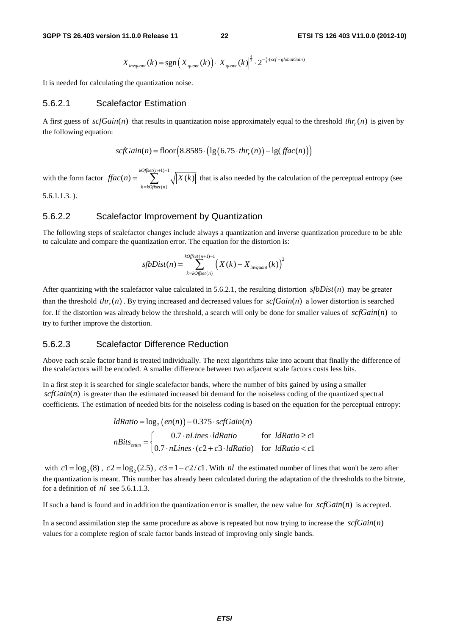$$
X_{\text{invquant}}(k) = \text{sgn}\left(X_{\text{quant}}(k)\right) \cdot \left|X_{\text{quant}}(k)\right|^{\frac{4}{3}} \cdot 2^{-\frac{1}{4}\cdot (scf -\text{globalGain})}
$$

It is needed for calculating the quantization noise.

#### 5.6.2.1 Scalefactor Estimation

A first guess of  $\text{scfGain}(n)$  that results in quantization noise approximately equal to the threshold  $\text{thr}(n)$  is given by the following equation:

$$
scfGain(n) = floor(8.8585 \cdot (lg(6.75 \cdot thr_r(n)) - lg(fac(n)))
$$

with the form factor  $(n+1) - 1$  $(n)$  $(n) = \sum_{k=1}^{\infty} \sqrt{X(k)}$ *kOffset n k kOffset n*  $\text{ffac}(n) = \sum_{x} \sqrt{|X(k)|}$ +1)−  $=\sum_{k=koffset(n)}^{\infty} \sqrt{|X(k)|}$  that is also needed by the calculation of the perceptual entropy (see 5.6.1.1.3. ).

#### 5.6.2.2 Scalefactor Improvement by Quantization

The following steps of scalefactor changes include always a quantization and inverse quantization procedure to be able to calculate and compare the quantization error. The equation for the distortion is:

$$
sfbDist(n) = \sum_{k = kOffset(n)}^{kOffset(n+1)-1} \left(X(k) - X_{invariant}(k)\right)^2
$$

After quantizing with the scalefactor value calculated in 5.6.2.1, the resulting distortion  $s\{bDist(n)\}$  may be greater than the threshold  $thr(x)$ . By trying increased and decreased values for  $scfGain(n)$  a lower distortion is searched for. If the distortion was already below the threshold, a search will only be done for smaller values of  $scfGain(n)$  to try to further improve the distortion.

#### 5.6.2.3 Scalefactor Difference Reduction

Above each scale factor band is treated individually. The next algorithms take into acount that finally the difference of the scalefactors will be encoded. A smaller difference between two adjacent scale factors costs less bits.

In a first step it is searched for single scalefactor bands, where the number of bits gained by using a smaller  $scfGain(n)$  is greater than the estimated increased bit demand for the noiseless coding of the quantized spectral coefficients. The estimation of needed bits for the noiseless coding is based on the equation for the perceptual entropy:

$$
ldRatio = \log_2(en(n)) - 0.375 \cdot scfGain(n)
$$
\n
$$
nBits_{estim} = \n\begin{cases}\n0.7 \cdot nLines \cdot l dRatio & \text{for} \quad l dRatio \ge c1 \\
0.7 \cdot nLines \cdot (c2 + c3 \cdot l dRatio) & \text{for} \quad l dRatio < c1\n\end{cases}
$$

with  $c1 = \log_2(8)$ ,  $c2 = \log_2(2.5)$ ,  $c3 = 1 - c2/c1$ . With *nl* the estimated number of lines that won't be zero after the quantization is meant. This number has already been calculated during the adaptation of the thresholds to the bitrate, for a definition of *nl* see 5.6.1.1.3.

If such a band is found and in addition the quantization error is smaller, the new value for  $\mathcal{S}\mathcal{C}\mathcal{G}\mathcal{C}\mathcal{C}$  is accepted.

In a second assimilation step the same procedure as above is repeated but now trying to increase the  $\mathcal{S}\mathcal{C}\mathcal{G}\mathcal{C}\mathcal{C}$ values for a complete region of scale factor bands instead of improving only single bands.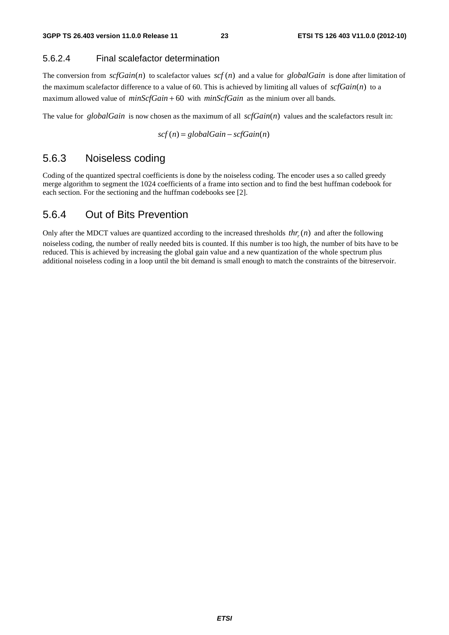#### 5.6.2.4 Final scalefactor determination

The conversion from  $\text{scfGain}(n)$  to scalefactor values  $\text{scf}(n)$  and a value for *globalGain* is done after limitation of the maximum scalefactor difference to a value of 60. This is achieved by limiting all values of  $\mathcal{SC}Gain(n)$  to a maximum allowed value of *minScfGain* + 60 with *minScfGain* as the minium over all bands.

The value for *globalGain* is now chosen as the maximum of all  $scfGain(n)$  values and the scalefactors result in:

$$
scf(n) = globalGain - scfGain(n)
$$

### 5.6.3 Noiseless coding

Coding of the quantized spectral coefficients is done by the noiseless coding. The encoder uses a so called greedy merge algorithm to segment the 1024 coefficients of a frame into section and to find the best huffman codebook for each section. For the sectioning and the huffman codebooks see [2].

### 5.6.4 Out of Bits Prevention

Only after the MDCT values are quantized according to the increased thresholds  $thr(n)$  and after the following noiseless coding, the number of really needed bits is counted. If this number is too high, the number of bits have to be reduced. This is achieved by increasing the global gain value and a new quantization of the whole spectrum plus additional noiseless coding in a loop until the bit demand is small enough to match the constraints of the bitreservoir.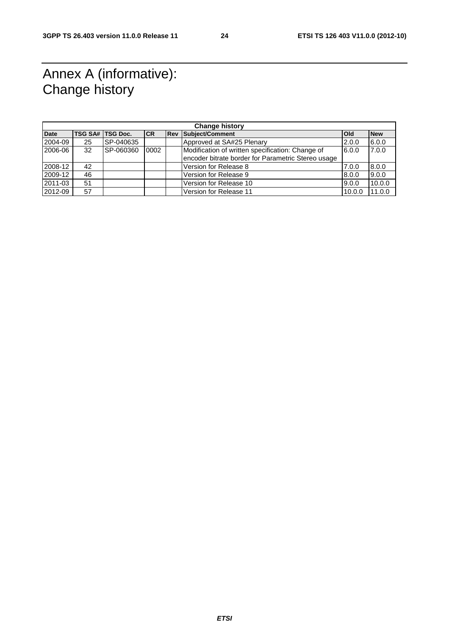# Annex A (informative): Change history

| <b>Change history</b> |    |                    |           |  |                                                    |              |            |
|-----------------------|----|--------------------|-----------|--|----------------------------------------------------|--------------|------------|
| Date                  |    | TSG SA#   TSG Doc. | <b>CR</b> |  | <b>Rev Subiect/Comment</b>                         | <b>l</b> Old | <b>New</b> |
| 2004-09               | 25 | SP-040635          |           |  | Approved at SA#25 Plenary                          | 2.0.0        | 6.0.0      |
| 2006-06               | 32 | SP-060360          | 0002      |  | Modification of written specification: Change of   | 6.0.0        | 7.0.0      |
|                       |    |                    |           |  | encoder bitrate border for Parametric Stereo usage |              |            |
| 2008-12               | 42 |                    |           |  | Version for Release 8                              | 7.0.0        | 8.0.0      |
| 2009-12               | 46 |                    |           |  | Version for Release 9                              | 8.0.0        | 9.0.0      |
| 2011-03               | 51 |                    |           |  | Version for Release 10                             | 9.0.0        | 10.0.0     |
| 2012-09               | 57 |                    |           |  | Version for Release 11                             | 10.0.0       | 11.0.0     |